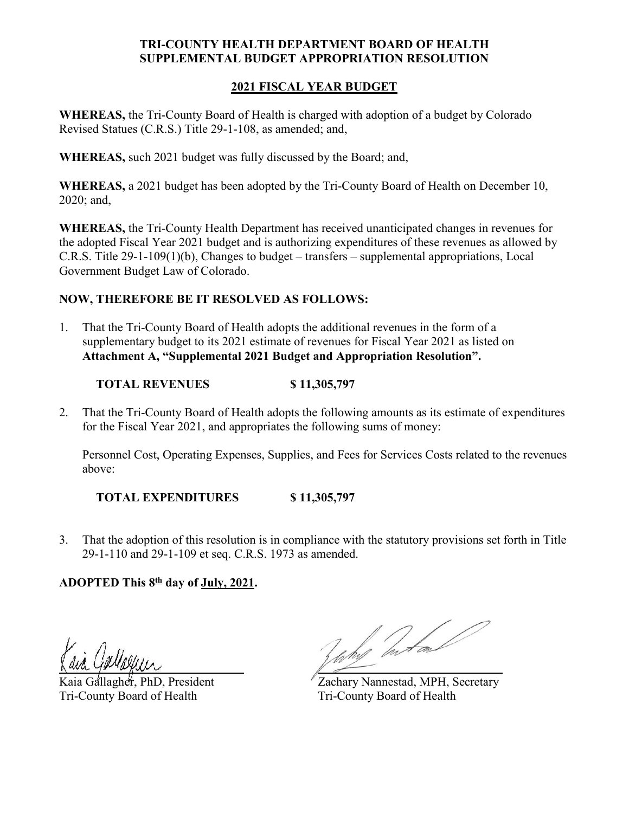## **TRI-COUNTY HEALTH DEPARTMENT BOARD OF HEALTH SUPPLEMENTAL BUDGET APPROPRIATION RESOLUTION**

## **2021 FISCAL YEAR BUDGET**

**WHEREAS,** the Tri-County Board of Health is charged with adoption of a budget by Colorado Revised Statues (C.R.S.) Title 29-1-108, as amended; and,

**WHEREAS,** such 2021 budget was fully discussed by the Board; and,

**WHEREAS,** a 2021 budget has been adopted by the Tri-County Board of Health on December 10, 2020; and,

**WHEREAS,** the Tri-County Health Department has received unanticipated changes in revenues for the adopted Fiscal Year 2021 budget and is authorizing expenditures of these revenues as allowed by C.R.S. Title 29-1-109(1)(b), Changes to budget – transfers – supplemental appropriations, Local Government Budget Law of Colorado.

## **NOW, THEREFORE BE IT RESOLVED AS FOLLOWS:**

1. That the Tri-County Board of Health adopts the additional revenues in the form of a supplementary budget to its 2021 estimate of revenues for Fiscal Year 2021 as listed on **Attachment A, "Supplemental 2021 Budget and Appropriation Resolution".**

**TOTAL REVENUES \$ 11,305,797**

2. That the Tri-County Board of Health adopts the following amounts as its estimate of expenditures for the Fiscal Year 2021, and appropriates the following sums of money:

Personnel Cost, Operating Expenses, Supplies, and Fees for Services Costs related to the revenues above:

**TOTAL EXPENDITURES \$ 11,305,797**

3. That the adoption of this resolution is in compliance with the statutory provisions set forth in Title 29-1-110 and 29-1-109 et seq. C.R.S. 1973 as amended.

## **ADOPTED This 8th day of July, 2021.**

à Gollseur

Tri-County Board of Health Tri-County Board of Health

Juny Inten

Kaia Gallagher, PhD, President Zachary Nannestad, MPH, Secretary